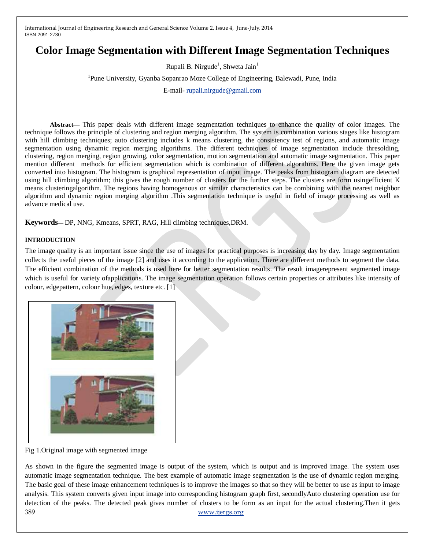# **Color Image Segmentation with Different Image Segmentation Techniques**

Rupali B. Nirgude<sup>1</sup>, Shweta Jain<sup>1</sup>

<sup>1</sup>Pune University, Gyanba Sopanrao Moze College of Engineering, Balewadi, Pune, India

E-mail- [rupali.nirgude@gmail.com](mailto:rupali.nirgude@gmail.com)

**Abstract—** This paper deals with different image segmentation techniques to enhance the quality of color images. The technique follows the principle of clustering and region merging algorithm. The system is combination various stages like histogram with hill climbing techniques; auto clustering includes k means clustering, the consistency test of regions, and automatic image segmentation using dynamic region merging algorithms. The different techniques of image segmentation include thresolding, clustering, region merging, region growing, color segmentation, motion segmentation and automatic image segmentation. This paper mention different methods for efficient segmentation which is combination of different algorithms. Here the given image gets converted into histogram. The histogram is graphical representation of input image. The peaks from histogram diagram are detected using hill climbing algorithm; this gives the rough number of clusters for the further steps. The clusters are form usingefficient K means clusteringalgorithm. The regions having homogenous or similar characteristics can be combining with the nearest neighbor algorithm and dynamic region merging algorithm .This segmentation technique is useful in field of image processing as well as advance medical use.

**Keywords**— DP, NNG, Kmeans, SPRT, RAG, Hill climbing techniques,DRM.

#### **INTRODUCTION**

The image quality is an important issue since the use of images for practical purposes is increasing day by day. Image segmentation collects the useful pieces of the image [2] and uses it according to the application. There are different methods to segment the data. The efficient combination of the methods is used here for better segmentation results. The result imagerepresent segmented image which is useful for variety ofapplications. The image segmentation operation follows certain properties or attributes like intensity of colour, edgepattern, colour hue, edges, texture etc. [1]



Fig 1.Original image with segmented image

389 [www.ijergs.org](http://www.ijergs.org/) As shown in the figure the segmented image is output of the system, which is output and is improved image. The system uses automatic image segmentation technique. The best example of automatic image segmentation is the use of dynamic region merging. The basic goal of these image enhancement techniques is to improve the images so that so they will be better to use as input to image analysis. This system converts given input image into corresponding histogram graph first, secondlyAuto clustering operation use for detection of the peaks. The detected peak gives number of clusters to be form as an input for the actual clustering.Then it gets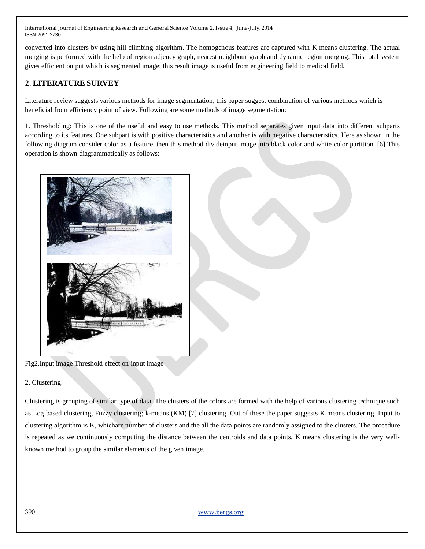converted into clusters by using hill climbing algorithm. The homogenous features are captured with K means clustering. The actual merging is performed with the help of region adjency graph, nearest neighbour graph and dynamic region merging. This total system gives efficient output which is segmented image; this result image is useful from engineering field to medical field.

# 2. **LITERATURE SURVEY**

Literature review suggests various methods for image segmentation, this paper suggest combination of various methods which is beneficial from efficiency point of view. Following are some methods of image segmentation:

1. Thresholding: This is one of the useful and easy to use methods. This method separates given input data into different subparts according to its features. One subpart is with positive characteristics and another is with negative characteristics. Here as shown in the following diagram consider color as a feature, then this method divideinput image into black color and white color partition. [6] This operation is shown diagrammatically as follows:



Fig2.Input image Threshold effect on input image

2. Clustering:

Clustering is grouping of similar type of data. The clusters of the colors are formed with the help of various clustering technique such as Log based clustering, Fuzzy clustering; k-means (KM) [7] clustering. Out of these the paper suggests K means clustering. Input to clustering algorithm is K, whichare number of clusters and the all the data points are randomly assigned to the clusters. The procedure is repeated as we continuously computing the distance between the centroids and data points. K means clustering is the very wellknown method to group the similar elements of the given image.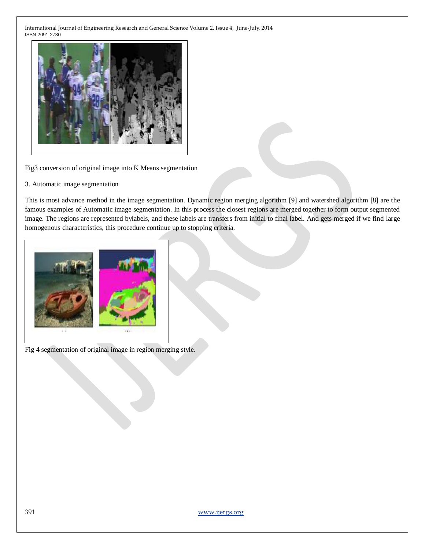

Fig3 conversion of original image into K Means segmentation

3. Automatic image segmentation

This is most advance method in the image segmentation. Dynamic region merging algorithm [9] and watershed algorithm [8] are the famous examples of Automatic image segmentation. In this process the closest regions are merged together to form output segmented image. The regions are represented bylabels, and these labels are transfers from initial to final label. And gets merged if we find large homogenous characteristics, this procedure continue up to stopping criteria.



Fig 4 segmentation of original image in region merging style.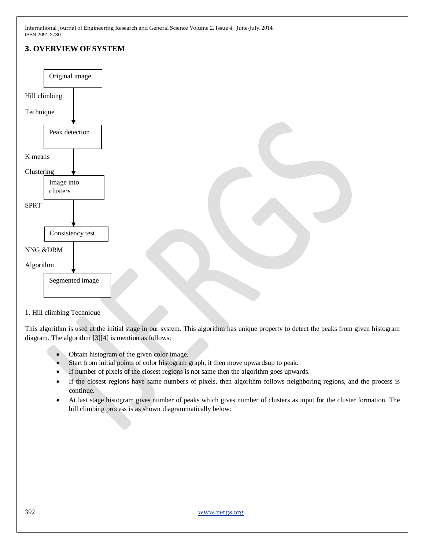# **3. OVERVIEW OF SYSTEM** Hill climbing Technique K means Clustering SPRT NNG &DRM Algorithm Original image Peak detection Image into clusters Consistency test Segmented image

#### 1. Hill climbing Technique

This algorithm is used at the initial stage in our system. This algorithm has unique property to detect the peaks from given histogram diagram. The algorithm [3][4] is mention as follows:

- Obtain histogram of the given color image.
- Start from initial points of color histogram graph, it then move upwardsup to peak.
- If number of pixels of the closest regions is not same then the algorithm goes upwards.
- If the closest regions have same numbers of pixels, then algorithm follows neighboring regions, and the process is continue.
- At last stage histogram gives number of peaks which gives number of clusters as input for the cluster formation. The hill climbing process is as shown diagrammatically below: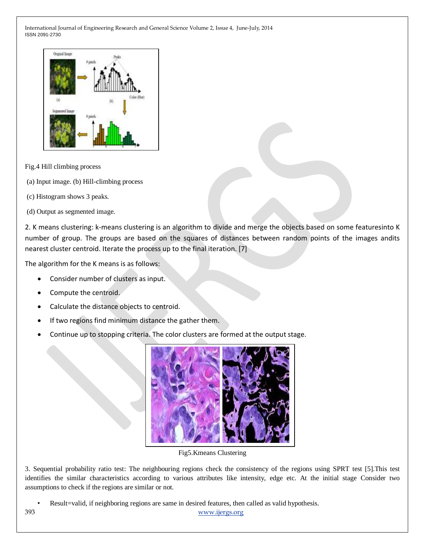

Fig.4 Hill climbing process

- (a) Input image. (b) Hill-climbing process
- (c) Histogram shows 3 peaks.
- (d) Output as segmented image.

2. K means clustering: k-means clustering is an algorithm to divide and merge the objects based on some featuresinto K number of group. The groups are based on the squares of distances between random points of the images andits nearest cluster centroid. Iterate the process up to the final iteration. [7]

The algorithm for the K means is as follows:

- Consider number of clusters as input.
- Compute the centroid.
- Calculate the distance objects to centroid.
- If two regions find minimum distance the gather them.
- Continue up to stopping criteria. The color clusters are formed at the output stage.



Fig5.Kmeans Clustering

3. Sequential probability ratio test: The neighbouring regions check the consistency of the regions using SPRT test [5].This test identifies the similar characteristics according to various attributes like intensity, edge etc. At the initial stage Consider two assumptions to check if the regions are similar or not.

393 [www.ijergs.org](http://www.ijergs.org/) • Result=valid, if neighboring regions are same in desired features, then called as valid hypothesis.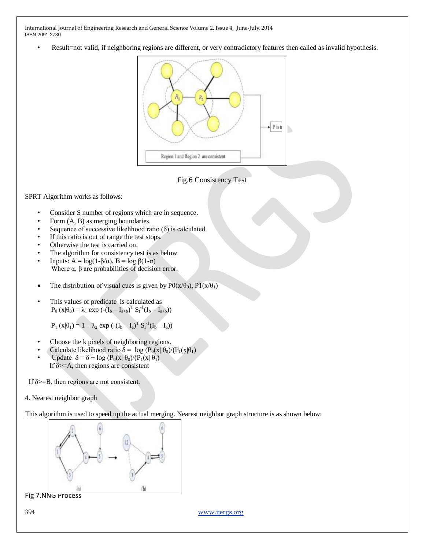Result=not valid, if neighboring regions are different, or very contradictory features then called as invalid hypothesis.





SPRT Algorithm works as follows:

- Consider S number of regions which are in sequence.
- Form  $(A, B)$  as merging boundaries.
- Sequence of successive likelihood ratio  $(\delta)$  is calculated.
- If this ratio is out of range the test stops.
- Otherwise the test is carried on.
- The algorithm for consistency test is as below
- Inputs:  $A = log(1-\beta/\alpha)$ ,  $B = log(1-\alpha)$ Where  $\alpha$ ,  $\beta$  are probabilities of decision error.
- The distribution of visual cues is given by  $P0(x/\theta_0)$ ,  $P1(x/\theta_1)$
- This values of predicate is calculated as  $P_0 (x | \theta_0) = \lambda_1 \exp (-(I_b - I_{a+b})^T S_1^{-1}(I_b - I_{a+b}))$

 $P_1(x|\theta_1) = 1 - \lambda_2 \exp(-(\mathbf{I}_b - \mathbf{I}_a)^T S_1^{-1}(\mathbf{I}_b - \mathbf{I}_a))$ 

- Choose the k pixels of neighboring regions.
- Calculate likelihood ratio  $\delta = \log (P_0(x|\theta_0)/(P_1(x|\theta_1)))$
- Update  $\delta = \delta + \log (P_0(x|\theta_0)/(P_1(x|\theta_1)))$ If  $\delta$  >=A, then regions are consistent

If  $\delta$  >=B, then regions are not consistent.

4. Nearest neighbor graph

This algorithm is used to speed up the actual merging. Nearest neighbor graph structure is as shown below:



Fig 7.NNG Process

394 [www.ijergs.org](http://www.ijergs.org/)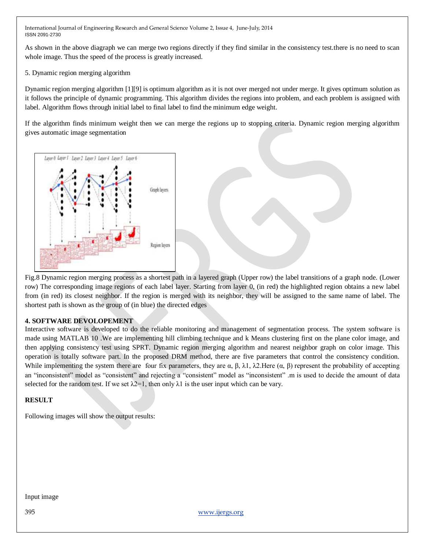As shown in the above diagraph we can merge two regions directly if they find similar in the consistency test.there is no need to scan whole image. Thus the speed of the process is greatly increased.

5. Dynamic region merging algorithm

Dynamic region merging algorithm [1][9] is optimum algorithm as it is not over merged not under merge. It gives optimum solution as it follows the principle of dynamic programming. This algorithm divides the regions into problem, and each problem is assigned with label. Algorithm flows through initial label to final label to find the minimum edge weight.

If the algorithm finds minimum weight then we can merge the regions up to stopping criteria. Dynamic region merging algorithm gives automatic image segmentation



Fig.8 Dynamic region merging process as a shortest path in a layered graph (Upper row) the label transitions of a graph node. (Lower row) The corresponding image regions of each label layer. Starting from layer 0, (in red) the highlighted region obtains a new label from (in red) its closest neighbor. If the region is merged with its neighbor, they will be assigned to the same name of label. The shortest path is shown as the group of (in blue) the directed edges

# **4. SOFTWARE DEVOLOPEMENT**

Interactive software is developed to do the reliable monitoring and management of segmentation process. The system software is made using MATLAB 10 .We are implementing hill climbing technique and k Means clustering first on the plane color image, and then applying consistency test using SPRT. Dynamic region merging algorithm and nearest neighbor graph on color image. This operation is totally software part. In the proposed DRM method, there are five parameters that control the consistency condition. While implementing the system there are four fix parameters, they are  $\alpha$ ,  $\beta$ ,  $\lambda$ 1,  $\lambda$ 2. Here  $(\alpha, \beta)$  represent the probability of accepting an "inconsistent" model as "consistent" and rejecting a "consistent" model as "inconsistent" .m is used to decide the amount of data selected for the random test. If we set  $\lambda$ 2=1, then only  $\lambda$ 1 is the user input which can be vary.

## **RESULT**

Following images will show the output results:

Input image

395 [www.ijergs.org](http://www.ijergs.org/)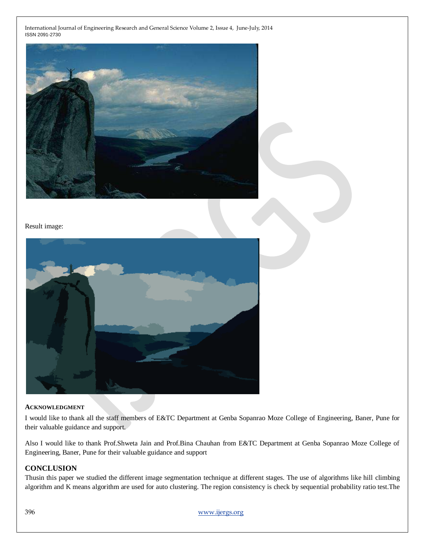

#### Result image:



#### **ACKNOWLEDGMENT**

I would like to thank all the staff members of E&TC Department at Genba Sopanrao Moze College of Engineering, Baner, Pune for their valuable guidance and support.

Also I would like to thank Prof.Shweta Jain and Prof.Bina Chauhan from E&TC Department at Genba Sopanrao Moze College of Engineering, Baner, Pune for their valuable guidance and support

## **CONCLUSION**

Thusin this paper we studied the different image segmentation technique at different stages. The use of algorithms like hill climbing algorithm and K means algorithm are used for auto clustering. The region consistency is check by sequential probability ratio test.The